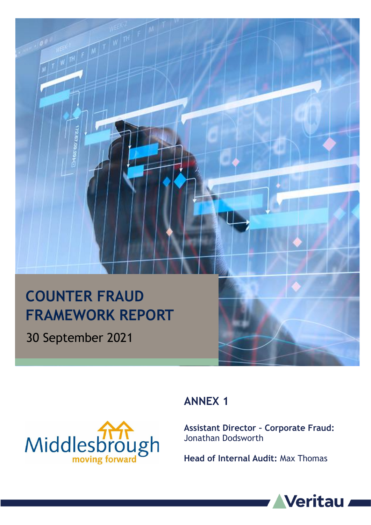## **COUNTER FRAUD FRAMEWORK REPORT**

30 September 2021



### **ANNEX 1**

**Assistant Director – Corporate Fraud:** Jonathan Dodsworth

**Head of Internal Audit:** Max Thomas

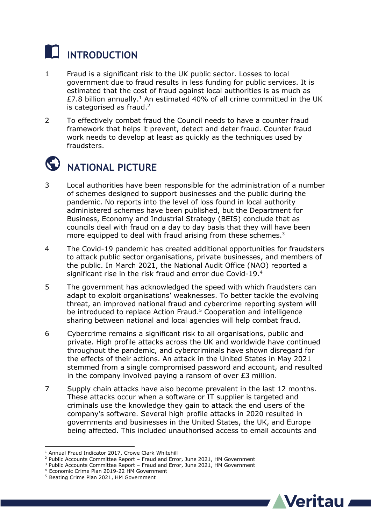## **INTRODUCTION**

- 1 Fraud is a significant risk to the UK public sector. Losses to local government due to fraud results in less funding for public services. It is estimated that the cost of fraud against local authorities is as much as £7.8 billion annually.<sup>1</sup> An estimated 40% of all crime committed in the UK is categorised as fraud. $2$
- 2 To effectively combat fraud the Council needs to have a counter fraud framework that helps it prevent, detect and deter fraud. Counter fraud work needs to develop at least as quickly as the techniques used by fraudsters.



-

## **NATIONAL PICTURE**

- 3 Local authorities have been responsible for the administration of a number of schemes designed to support businesses and the public during the pandemic. No reports into the level of loss found in local authority administered schemes have been published, but the Department for Business, Economy and Industrial Strategy (BEIS) conclude that as councils deal with fraud on a day to day basis that they will have been more equipped to deal with fraud arising from these schemes.<sup>3</sup>
- 4 The Covid-19 pandemic has created additional opportunities for fraudsters to attack public sector organisations, private businesses, and members of the public. In March 2021, the National Audit Office (NAO) reported a significant rise in the risk fraud and error due Covid-19.<sup>4</sup>
- 5 The government has acknowledged the speed with which fraudsters can adapt to exploit organisations' weaknesses. To better tackle the evolving threat, an improved national fraud and cybercrime reporting system will be introduced to replace Action Fraud.<sup>5</sup> Cooperation and intelligence sharing between national and local agencies will help combat fraud.
- 6 Cybercrime remains a significant risk to all organisations, public and private. High profile attacks across the UK and worldwide have continued throughout the pandemic, and cybercriminals have shown disregard for the effects of their actions. An attack in the United States in May 2021 stemmed from a single compromised password and account, and resulted in the company involved paying a ransom of over £3 million.
- 7 Supply chain attacks have also become prevalent in the last 12 months. These attacks occur when a software or IT supplier is targeted and criminals use the knowledge they gain to attack the end users of the company's software. Several high profile attacks in 2020 resulted in governments and businesses in the United States, the UK, and Europe being affected. This included unauthorised access to email accounts and



<sup>&</sup>lt;sup>1</sup> Annual Fraud Indicator 2017, Crowe Clark Whitehill

<sup>2</sup> Public Accounts Committee Report – Fraud and Error, June 2021, HM Government

<sup>&</sup>lt;sup>3</sup> Public Accounts Committee Report - Fraud and Error, June 2021, HM Government

<sup>4</sup> Economic Crime Plan 2019-22 HM Government

<sup>5</sup> Beating Crime Plan 2021, HM Government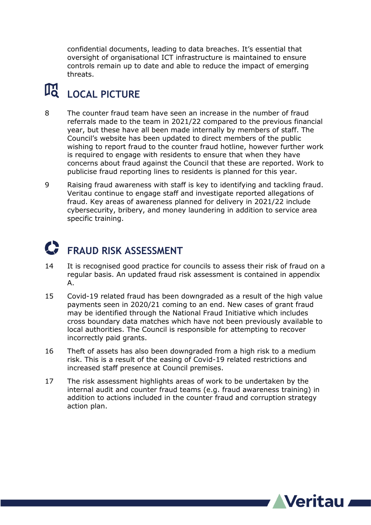confidential documents, leading to data breaches. It's essential that oversight of organisational ICT infrastructure is maintained to ensure controls remain up to date and able to reduce the impact of emerging threats.

## **LOCAL PICTURE**

- 8 The counter fraud team have seen an increase in the number of fraud referrals made to the team in 2021/22 compared to the previous financial year, but these have all been made internally by members of staff. The Council's website has been updated to direct members of the public wishing to report fraud to the counter fraud hotline, however further work is required to engage with residents to ensure that when they have concerns about fraud against the Council that these are reported. Work to publicise fraud reporting lines to residents is planned for this year.
- 9 Raising fraud awareness with staff is key to identifying and tackling fraud. Veritau continue to engage staff and investigate reported allegations of fraud. Key areas of awareness planned for delivery in 2021/22 include cybersecurity, bribery, and money laundering in addition to service area specific training.

## **FRAUD RISK ASSESSMENT**

- 14 It is recognised good practice for councils to assess their risk of fraud on a regular basis. An updated fraud risk assessment is contained in appendix A.
- 15 Covid-19 related fraud has been downgraded as a result of the high value payments seen in 2020/21 coming to an end. New cases of grant fraud may be identified through the National Fraud Initiative which includes cross boundary data matches which have not been previously available to local authorities. The Council is responsible for attempting to recover incorrectly paid grants.
- 16 Theft of assets has also been downgraded from a high risk to a medium risk. This is a result of the easing of Covid-19 related restrictions and increased staff presence at Council premises.
- 17 The risk assessment highlights areas of work to be undertaken by the internal audit and counter fraud teams (e.g. fraud awareness training) in addition to actions included in the counter fraud and corruption strategy action plan.

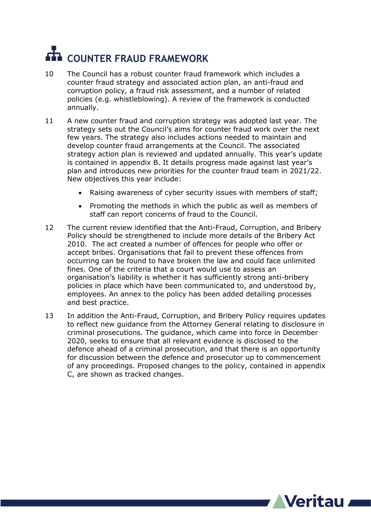# **COUNTER FRAUD FRAMEWORK**

- 10 The Council has a robust counter fraud framework which includes a counter fraud strategy and associated action plan, an anti-fraud and corruption policy, a fraud risk assessment, and a number of related policies (e.g. whistleblowing). A review of the framework is conducted annually.
- 11 A new counter fraud and corruption strategy was adopted last year. The strategy sets out the Council's aims for counter fraud work over the next few years. The strategy also includes actions needed to maintain and develop counter fraud arrangements at the Council. The associated strategy action plan is reviewed and updated annually. This year's update is contained in appendix B. It details progress made against last year's plan and introduces new priorities for the counter fraud team in 2021/22. New objectives this year include:
	- Raising awareness of cyber security issues with members of staff;
	- Promoting the methods in which the public as well as members of staff can report concerns of fraud to the Council.
- 12 The current review identified that the Anti-Fraud, Corruption, and Bribery Policy should be strengthened to include more details of the Bribery Act 2010. The act created a number of offences for people who offer or accept bribes. Organisations that fail to prevent these offences from occurring can be found to have broken the law and could face unlimited fines. One of the criteria that a court would use to assess an organisation's liability is whether it has sufficiently strong anti-bribery policies in place which have been communicated to, and understood by, employees. An annex to the policy has been added detailing processes and best practice.
- 13 In addition the Anti-Fraud, Corruption, and Bribery Policy requires updates to reflect new guidance from the Attorney General relating to disclosure in criminal prosecutions. The guidance, which came into force in December 2020, seeks to ensure that all relevant evidence is disclosed to the defence ahead of a criminal prosecution, and that there is an opportunity for discussion between the defence and prosecutor up to commencement of any proceedings. Proposed changes to the policy, contained in appendix C, are shown as tracked changes.

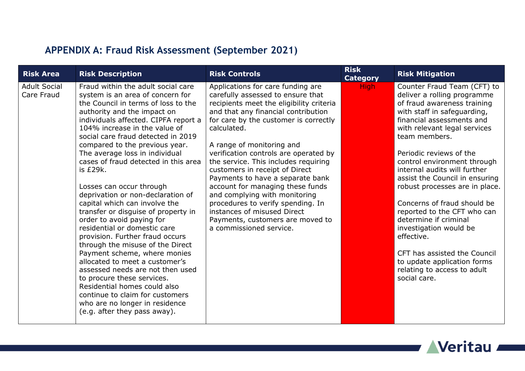### **APPENDIX A: Fraud Risk Assessment (September 2021)**

| <b>Risk Area</b>                  | <b>Risk Description</b>                                                                                                                                                                                                                                                                                                                                                                                                                                                                                                                                                                                                                                                                                                                                                                                                                                                                                                                   | <b>Risk Controls</b>                                                                                                                                                                                                                                                                                                                                                                                                                                                                                                                                                                                          | <b>Risk</b><br><b>Category</b> | <b>Risk Mitigation</b>                                                                                                                                                                                                                                                                                                                                                                                                                                                                                                                                                                                            |
|-----------------------------------|-------------------------------------------------------------------------------------------------------------------------------------------------------------------------------------------------------------------------------------------------------------------------------------------------------------------------------------------------------------------------------------------------------------------------------------------------------------------------------------------------------------------------------------------------------------------------------------------------------------------------------------------------------------------------------------------------------------------------------------------------------------------------------------------------------------------------------------------------------------------------------------------------------------------------------------------|---------------------------------------------------------------------------------------------------------------------------------------------------------------------------------------------------------------------------------------------------------------------------------------------------------------------------------------------------------------------------------------------------------------------------------------------------------------------------------------------------------------------------------------------------------------------------------------------------------------|--------------------------------|-------------------------------------------------------------------------------------------------------------------------------------------------------------------------------------------------------------------------------------------------------------------------------------------------------------------------------------------------------------------------------------------------------------------------------------------------------------------------------------------------------------------------------------------------------------------------------------------------------------------|
| <b>Adult Social</b><br>Care Fraud | Fraud within the adult social care<br>system is an area of concern for<br>the Council in terms of loss to the<br>authority and the impact on<br>individuals affected. CIPFA report a<br>104% increase in the value of<br>social care fraud detected in 2019<br>compared to the previous year.<br>The average loss in individual<br>cases of fraud detected in this area<br>is £29k.<br>Losses can occur through<br>deprivation or non-declaration of<br>capital which can involve the<br>transfer or disguise of property in<br>order to avoid paying for<br>residential or domestic care<br>provision. Further fraud occurs<br>through the misuse of the Direct<br>Payment scheme, where monies<br>allocated to meet a customer's<br>assessed needs are not then used<br>to procure these services.<br>Residential homes could also<br>continue to claim for customers<br>who are no longer in residence<br>(e.g. after they pass away). | Applications for care funding are<br>carefully assessed to ensure that<br>recipients meet the eligibility criteria<br>and that any financial contribution<br>for care by the customer is correctly<br>calculated.<br>A range of monitoring and<br>verification controls are operated by<br>the service. This includes requiring<br>customers in receipt of Direct<br>Payments to have a separate bank<br>account for managing these funds<br>and complying with monitoring<br>procedures to verify spending. In<br>instances of misused Direct<br>Payments, customers are moved to<br>a commissioned service. | <b>High</b>                    | Counter Fraud Team (CFT) to<br>deliver a rolling programme<br>of fraud awareness training<br>with staff in safeguarding,<br>financial assessments and<br>with relevant legal services<br>team members.<br>Periodic reviews of the<br>control environment through<br>internal audits will further<br>assist the Council in ensuring<br>robust processes are in place.<br>Concerns of fraud should be<br>reported to the CFT who can<br>determine if criminal<br>investigation would be<br>effective.<br>CFT has assisted the Council<br>to update application forms<br>relating to access to adult<br>social care. |

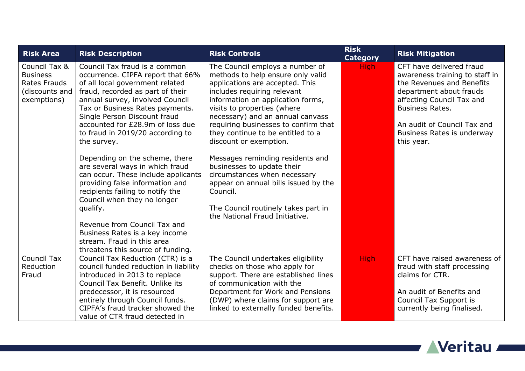| <b>Risk Area</b>                                                                  | <b>Risk Description</b>                                                                                                                                                                                                                                                                                                                                                                                                                                                                                                                                                                                                                                                                                   | <b>Risk Controls</b>                                                                                                                                                                                                                                                                                                                                                                                                                                                                                                                                                                 | <b>Risk</b><br><b>Category</b> | <b>Risk Mitigation</b>                                                                                                                                                                                                                               |
|-----------------------------------------------------------------------------------|-----------------------------------------------------------------------------------------------------------------------------------------------------------------------------------------------------------------------------------------------------------------------------------------------------------------------------------------------------------------------------------------------------------------------------------------------------------------------------------------------------------------------------------------------------------------------------------------------------------------------------------------------------------------------------------------------------------|--------------------------------------------------------------------------------------------------------------------------------------------------------------------------------------------------------------------------------------------------------------------------------------------------------------------------------------------------------------------------------------------------------------------------------------------------------------------------------------------------------------------------------------------------------------------------------------|--------------------------------|------------------------------------------------------------------------------------------------------------------------------------------------------------------------------------------------------------------------------------------------------|
| Council Tax &<br><b>Business</b><br>Rates Frauds<br>(discounts and<br>exemptions) | Council Tax fraud is a common<br>occurrence. CIPFA report that 66%<br>of all local government related<br>fraud, recorded as part of their<br>annual survey, involved Council<br>Tax or Business Rates payments.<br>Single Person Discount fraud<br>accounted for £28.9m of loss due<br>to fraud in 2019/20 according to<br>the survey.<br>Depending on the scheme, there<br>are several ways in which fraud<br>can occur. These include applicants<br>providing false information and<br>recipients failing to notify the<br>Council when they no longer<br>qualify.<br>Revenue from Council Tax and<br>Business Rates is a key income<br>stream. Fraud in this area<br>threatens this source of funding. | The Council employs a number of<br>methods to help ensure only valid<br>applications are accepted. This<br>includes requiring relevant<br>information on application forms,<br>visits to properties (where<br>necessary) and an annual canvass<br>requiring businesses to confirm that<br>they continue to be entitled to a<br>discount or exemption.<br>Messages reminding residents and<br>businesses to update their<br>circumstances when necessary<br>appear on annual bills issued by the<br>Council.<br>The Council routinely takes part in<br>the National Fraud Initiative. | <b>High</b>                    | CFT have delivered fraud<br>awareness training to staff in<br>the Revenues and Benefits<br>department about frauds<br>affecting Council Tax and<br><b>Business Rates.</b><br>An audit of Council Tax and<br>Business Rates is underway<br>this year. |
| <b>Council Tax</b><br>Reduction<br>Fraud                                          | Council Tax Reduction (CTR) is a<br>council funded reduction in liability<br>introduced in 2013 to replace<br>Council Tax Benefit. Unlike its<br>predecessor, it is resourced<br>entirely through Council funds.<br>CIPFA's fraud tracker showed the<br>value of CTR fraud detected in                                                                                                                                                                                                                                                                                                                                                                                                                    | The Council undertakes eligibility<br>checks on those who apply for<br>support. There are established lines<br>of communication with the<br>Department for Work and Pensions<br>(DWP) where claims for support are<br>linked to externally funded benefits.                                                                                                                                                                                                                                                                                                                          | <b>High</b>                    | CFT have raised awareness of<br>fraud with staff processing<br>claims for CTR.<br>An audit of Benefits and<br>Council Tax Support is<br>currently being finalised.                                                                                   |

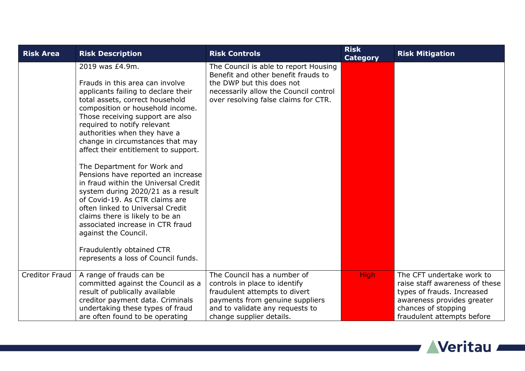| <b>Risk Area</b>      | <b>Risk Description</b>                                                                                                                                                                                                                                                                                                                                                                                                                                                                                                                                                                                                                                                                                                                    | <b>Risk Controls</b>                                                                                                                                                                       | <b>Risk</b><br><b>Category</b> | <b>Risk Mitigation</b>                                      |
|-----------------------|--------------------------------------------------------------------------------------------------------------------------------------------------------------------------------------------------------------------------------------------------------------------------------------------------------------------------------------------------------------------------------------------------------------------------------------------------------------------------------------------------------------------------------------------------------------------------------------------------------------------------------------------------------------------------------------------------------------------------------------------|--------------------------------------------------------------------------------------------------------------------------------------------------------------------------------------------|--------------------------------|-------------------------------------------------------------|
|                       | 2019 was £4.9m.<br>Frauds in this area can involve<br>applicants failing to declare their<br>total assets, correct household<br>composition or household income.<br>Those receiving support are also<br>required to notify relevant<br>authorities when they have a<br>change in circumstances that may<br>affect their entitlement to support.<br>The Department for Work and<br>Pensions have reported an increase<br>in fraud within the Universal Credit<br>system during 2020/21 as a result<br>of Covid-19. As CTR claims are<br>often linked to Universal Credit<br>claims there is likely to be an<br>associated increase in CTR fraud<br>against the Council.<br>Fraudulently obtained CTR<br>represents a loss of Council funds. | The Council is able to report Housing<br>Benefit and other benefit frauds to<br>the DWP but this does not<br>necessarily allow the Council control<br>over resolving false claims for CTR. |                                |                                                             |
| <b>Creditor Fraud</b> | A range of frauds can be<br>committed against the Council as a                                                                                                                                                                                                                                                                                                                                                                                                                                                                                                                                                                                                                                                                             | The Council has a number of<br>controls in place to identify                                                                                                                               | <b>High</b>                    | The CFT undertake work to<br>raise staff awareness of these |
|                       | result of publically available                                                                                                                                                                                                                                                                                                                                                                                                                                                                                                                                                                                                                                                                                                             | fraudulent attempts to divert                                                                                                                                                              |                                | types of frauds. Increased                                  |
|                       | creditor payment data. Criminals                                                                                                                                                                                                                                                                                                                                                                                                                                                                                                                                                                                                                                                                                                           | payments from genuine suppliers                                                                                                                                                            |                                | awareness provides greater                                  |
|                       | undertaking these types of fraud                                                                                                                                                                                                                                                                                                                                                                                                                                                                                                                                                                                                                                                                                                           | and to validate any requests to                                                                                                                                                            |                                | chances of stopping                                         |
|                       | are often found to be operating                                                                                                                                                                                                                                                                                                                                                                                                                                                                                                                                                                                                                                                                                                            | change supplier details.                                                                                                                                                                   |                                | fraudulent attempts before                                  |

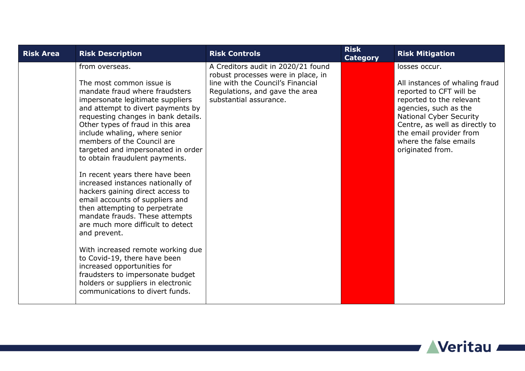| <b>Risk Area</b> | <b>Risk Description</b>                                                                                                                                                                                                                                                                                                                                                                                                                                                                                                                                                                                                                                                                                                                                                                                                                                          | <b>Risk Controls</b>                                                                                                                                                      | <b>Risk</b><br><b>Category</b> | <b>Risk Mitigation</b>                                                                                                                                                                                                                                                       |
|------------------|------------------------------------------------------------------------------------------------------------------------------------------------------------------------------------------------------------------------------------------------------------------------------------------------------------------------------------------------------------------------------------------------------------------------------------------------------------------------------------------------------------------------------------------------------------------------------------------------------------------------------------------------------------------------------------------------------------------------------------------------------------------------------------------------------------------------------------------------------------------|---------------------------------------------------------------------------------------------------------------------------------------------------------------------------|--------------------------------|------------------------------------------------------------------------------------------------------------------------------------------------------------------------------------------------------------------------------------------------------------------------------|
|                  | from overseas.<br>The most common issue is<br>mandate fraud where fraudsters<br>impersonate legitimate suppliers<br>and attempt to divert payments by<br>requesting changes in bank details.<br>Other types of fraud in this area<br>include whaling, where senior<br>members of the Council are<br>targeted and impersonated in order<br>to obtain fraudulent payments.<br>In recent years there have been<br>increased instances nationally of<br>hackers gaining direct access to<br>email accounts of suppliers and<br>then attempting to perpetrate<br>mandate frauds. These attempts<br>are much more difficult to detect<br>and prevent.<br>With increased remote working due<br>to Covid-19, there have been<br>increased opportunities for<br>fraudsters to impersonate budget<br>holders or suppliers in electronic<br>communications to divert funds. | A Creditors audit in 2020/21 found<br>robust processes were in place, in<br>line with the Council's Financial<br>Regulations, and gave the area<br>substantial assurance. |                                | losses occur.<br>All instances of whaling fraud<br>reported to CFT will be<br>reported to the relevant<br>agencies, such as the<br><b>National Cyber Security</b><br>Centre, as well as directly to<br>the email provider from<br>where the false emails<br>originated from. |

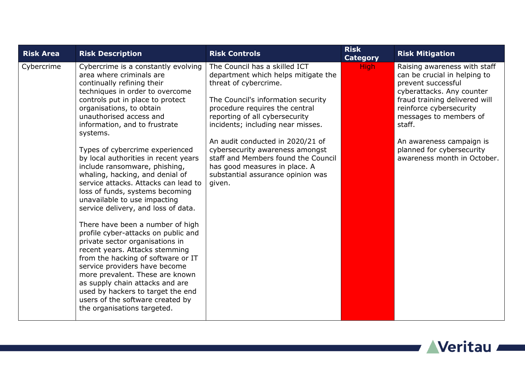| <b>Risk Area</b> | <b>Risk Description</b>                                                                                                                                                                                                                                                                                                                                                                                                                                                                                                                                                                                                                                                                                                                                                                                                                                                                                                                                                        | <b>Risk Controls</b>                                                                                                                                                                                                                                                                                                                                                                                                                       | <b>Risk</b><br><b>Category</b> | <b>Risk Mitigation</b>                                                                                                                                                                                                                                                                                  |
|------------------|--------------------------------------------------------------------------------------------------------------------------------------------------------------------------------------------------------------------------------------------------------------------------------------------------------------------------------------------------------------------------------------------------------------------------------------------------------------------------------------------------------------------------------------------------------------------------------------------------------------------------------------------------------------------------------------------------------------------------------------------------------------------------------------------------------------------------------------------------------------------------------------------------------------------------------------------------------------------------------|--------------------------------------------------------------------------------------------------------------------------------------------------------------------------------------------------------------------------------------------------------------------------------------------------------------------------------------------------------------------------------------------------------------------------------------------|--------------------------------|---------------------------------------------------------------------------------------------------------------------------------------------------------------------------------------------------------------------------------------------------------------------------------------------------------|
| Cybercrime       | Cybercrime is a constantly evolving<br>area where criminals are<br>continually refining their<br>techniques in order to overcome<br>controls put in place to protect<br>organisations, to obtain<br>unauthorised access and<br>information, and to frustrate<br>systems.<br>Types of cybercrime experienced<br>by local authorities in recent years<br>include ransomware, phishing,<br>whaling, hacking, and denial of<br>service attacks. Attacks can lead to<br>loss of funds, systems becoming<br>unavailable to use impacting<br>service delivery, and loss of data.<br>There have been a number of high<br>profile cyber-attacks on public and<br>private sector organisations in<br>recent years. Attacks stemming<br>from the hacking of software or IT<br>service providers have become<br>more prevalent. These are known<br>as supply chain attacks and are<br>used by hackers to target the end<br>users of the software created by<br>the organisations targeted. | The Council has a skilled ICT<br>department which helps mitigate the<br>threat of cybercrime.<br>The Council's information security<br>procedure requires the central<br>reporting of all cybersecurity<br>incidents; including near misses.<br>An audit conducted in 2020/21 of<br>cybersecurity awareness amongst<br>staff and Members found the Council<br>has good measures in place. A<br>substantial assurance opinion was<br>given. | <b>High</b>                    | Raising awareness with staff<br>can be crucial in helping to<br>prevent successful<br>cyberattacks. Any counter<br>fraud training delivered will<br>reinforce cybersecurity<br>messages to members of<br>staff.<br>An awareness campaign is<br>planned for cybersecurity<br>awareness month in October. |

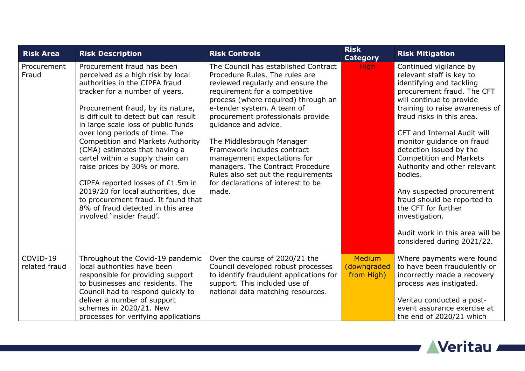| <b>Risk Area</b>          | <b>Risk Description</b>                                                                                                                                                                                                                                                                                                                                                                                                                                                                                                                                                                                                         | <b>Risk Controls</b>                                                                                                                                                                                                                                                                                                                                                                                                                                                                                | <b>Risk</b><br><b>Category</b>             | <b>Risk Mitigation</b>                                                                                                                                                                                                                                                                                                                                                                                                                                                                                                                            |
|---------------------------|---------------------------------------------------------------------------------------------------------------------------------------------------------------------------------------------------------------------------------------------------------------------------------------------------------------------------------------------------------------------------------------------------------------------------------------------------------------------------------------------------------------------------------------------------------------------------------------------------------------------------------|-----------------------------------------------------------------------------------------------------------------------------------------------------------------------------------------------------------------------------------------------------------------------------------------------------------------------------------------------------------------------------------------------------------------------------------------------------------------------------------------------------|--------------------------------------------|---------------------------------------------------------------------------------------------------------------------------------------------------------------------------------------------------------------------------------------------------------------------------------------------------------------------------------------------------------------------------------------------------------------------------------------------------------------------------------------------------------------------------------------------------|
| Procurement<br>Fraud      | Procurement fraud has been<br>perceived as a high risk by local<br>authorities in the CIPFA fraud<br>tracker for a number of years.<br>Procurement fraud, by its nature,<br>is difficult to detect but can result<br>in large scale loss of public funds<br>over long periods of time. The<br><b>Competition and Markets Authority</b><br>(CMA) estimates that having a<br>cartel within a supply chain can<br>raise prices by 30% or more.<br>CIPFA reported losses of £1.5m in<br>2019/20 for local authorities, due<br>to procurement fraud. It found that<br>8% of fraud detected in this area<br>involved 'insider fraud'. | The Council has established Contract<br>Procedure Rules. The rules are<br>reviewed regularly and ensure the<br>requirement for a competitive<br>process (where required) through an<br>e-tender system. A team of<br>procurement professionals provide<br>guidance and advice.<br>The Middlesbrough Manager<br>Framework includes contract<br>management expectations for<br>managers. The Contract Procedure<br>Rules also set out the requirements<br>for declarations of interest to be<br>made. | <b>High</b>                                | Continued vigilance by<br>relevant staff is key to<br>identifying and tackling<br>procurement fraud. The CFT<br>will continue to provide<br>training to raise awareness of<br>fraud risks in this area.<br>CFT and Internal Audit will<br>monitor guidance on fraud<br>detection issued by the<br><b>Competition and Markets</b><br>Authority and other relevant<br>bodies.<br>Any suspected procurement<br>fraud should be reported to<br>the CFT for further<br>investigation.<br>Audit work in this area will be<br>considered during 2021/22. |
| COVID-19<br>related fraud | Throughout the Covid-19 pandemic<br>local authorities have been<br>responsible for providing support<br>to businesses and residents. The<br>Council had to respond quickly to<br>deliver a number of support<br>schemes in 2020/21. New<br>processes for verifying applications                                                                                                                                                                                                                                                                                                                                                 | Over the course of 2020/21 the<br>Council developed robust processes<br>to identify fraudulent applications for<br>support. This included use of<br>national data matching resources.                                                                                                                                                                                                                                                                                                               | <b>Medium</b><br>(downgraded<br>from High) | Where payments were found<br>to have been fraudulently or<br>incorrectly made a recovery<br>process was instigated.<br>Veritau conducted a post-<br>event assurance exercise at<br>the end of 2020/21 which                                                                                                                                                                                                                                                                                                                                       |

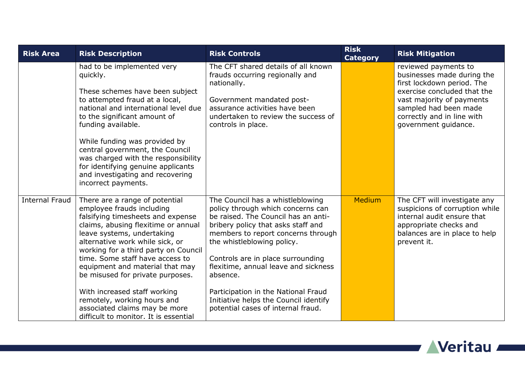| <b>Risk Area</b>      | <b>Risk Description</b>                                                                                                                                                                                                                                                                                                                                                                                                                                                                             | <b>Risk Controls</b>                                                                                                                                                                                                                                                                                                                                                                                                                  | <b>Risk</b><br><b>Category</b> | <b>Risk Mitigation</b>                                                                                                                                                                                                      |
|-----------------------|-----------------------------------------------------------------------------------------------------------------------------------------------------------------------------------------------------------------------------------------------------------------------------------------------------------------------------------------------------------------------------------------------------------------------------------------------------------------------------------------------------|---------------------------------------------------------------------------------------------------------------------------------------------------------------------------------------------------------------------------------------------------------------------------------------------------------------------------------------------------------------------------------------------------------------------------------------|--------------------------------|-----------------------------------------------------------------------------------------------------------------------------------------------------------------------------------------------------------------------------|
|                       | had to be implemented very<br>quickly.<br>These schemes have been subject<br>to attempted fraud at a local,<br>national and international level due<br>to the significant amount of<br>funding available.<br>While funding was provided by<br>central government, the Council<br>was charged with the responsibility<br>for identifying genuine applicants<br>and investigating and recovering<br>incorrect payments.                                                                               | The CFT shared details of all known<br>frauds occurring regionally and<br>nationally.<br>Government mandated post-<br>assurance activities have been<br>undertaken to review the success of<br>controls in place.                                                                                                                                                                                                                     |                                | reviewed payments to<br>businesses made during the<br>first lockdown period. The<br>exercise concluded that the<br>vast majority of payments<br>sampled had been made<br>correctly and in line with<br>government guidance. |
| <b>Internal Fraud</b> | There are a range of potential<br>employee frauds including<br>falsifying timesheets and expense<br>claims, abusing flexitime or annual<br>leave systems, undertaking<br>alternative work while sick, or<br>working for a third party on Council<br>time. Some staff have access to<br>equipment and material that may<br>be misused for private purposes.<br>With increased staff working<br>remotely, working hours and<br>associated claims may be more<br>difficult to monitor. It is essential | The Council has a whistleblowing<br>policy through which concerns can<br>be raised. The Council has an anti-<br>bribery policy that asks staff and<br>members to report concerns through<br>the whistleblowing policy.<br>Controls are in place surrounding<br>flexitime, annual leave and sickness<br>absence.<br>Participation in the National Fraud<br>Initiative helps the Council identify<br>potential cases of internal fraud. | <b>Medium</b>                  | The CFT will investigate any<br>suspicions of corruption while<br>internal audit ensure that<br>appropriate checks and<br>balances are in place to help<br>prevent it.                                                      |

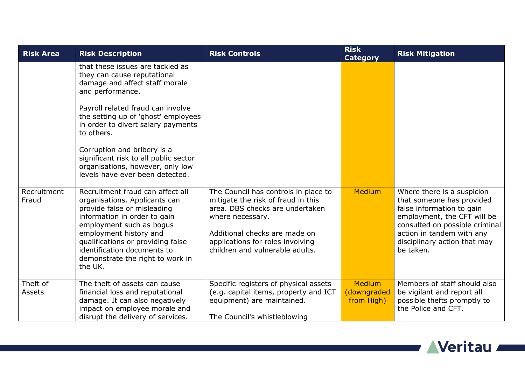| <b>Risk Area</b>     | <b>Risk Description</b>                                                                                                                                                                                                                                                                                                                                                                              | <b>Risk Controls</b>                                                                                                                                                                                                                      | <b>Risk</b><br><b>Category</b>             | <b>Risk Mitigation</b>                                                                                                                                                                                                          |
|----------------------|------------------------------------------------------------------------------------------------------------------------------------------------------------------------------------------------------------------------------------------------------------------------------------------------------------------------------------------------------------------------------------------------------|-------------------------------------------------------------------------------------------------------------------------------------------------------------------------------------------------------------------------------------------|--------------------------------------------|---------------------------------------------------------------------------------------------------------------------------------------------------------------------------------------------------------------------------------|
|                      | that these issues are tackled as<br>they can cause reputational<br>damage and affect staff morale<br>and performance.<br>Payroll related fraud can involve<br>the setting up of 'ghost' employees<br>in order to divert salary payments<br>to others.<br>Corruption and bribery is a<br>significant risk to all public sector<br>organisations, however, only low<br>levels have ever been detected. |                                                                                                                                                                                                                                           |                                            |                                                                                                                                                                                                                                 |
| Recruitment<br>Fraud | Recruitment fraud can affect all<br>organisations. Applicants can<br>provide false or misleading<br>information in order to gain<br>employment such as bogus<br>employment history and<br>qualifications or providing false<br>identification documents to<br>demonstrate the right to work in<br>the UK.                                                                                            | The Council has controls in place to<br>mitigate the risk of fraud in this<br>area. DBS checks are undertaken<br>where necessary.<br>Additional checks are made on<br>applications for roles involving<br>children and vulnerable adults. | <b>Medium</b>                              | Where there is a suspicion<br>that someone has provided<br>false information to gain<br>employment, the CFT will be<br>consulted on possible criminal<br>action in tandem with any<br>disciplinary action that may<br>be taken. |
| Theft of<br>Assets   | The theft of assets can cause<br>financial loss and reputational<br>damage. It can also negatively<br>impact on employee morale and<br>disrupt the delivery of services.                                                                                                                                                                                                                             | Specific registers of physical assets<br>(e.g. capital items, property and ICT<br>equipment) are maintained.<br>The Council's whistleblowing                                                                                              | <b>Medium</b><br>(downgraded<br>from High) | Members of staff should also<br>be vigilant and report all<br>possible thefts promptly to<br>the Police and CFT.                                                                                                                |

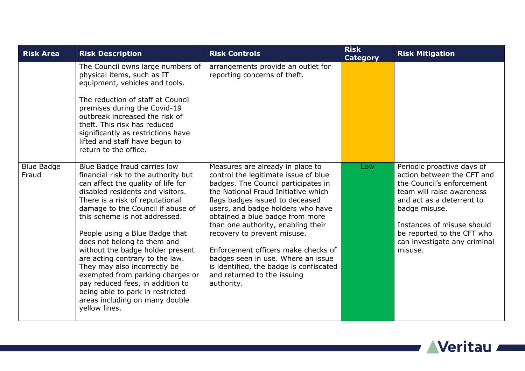| <b>Risk Area</b>           | <b>Risk Description</b>                                                                                                                                                                                                                                                                                                                                                                                                                                                                                                                                                                       | <b>Risk Controls</b>                                                                                                                                                                                                                                                                                                                                                                                                                                                                                        | <b>Risk</b><br><b>Category</b> | <b>Risk Mitigation</b>                                                                                                                                                                                                                                                  |
|----------------------------|-----------------------------------------------------------------------------------------------------------------------------------------------------------------------------------------------------------------------------------------------------------------------------------------------------------------------------------------------------------------------------------------------------------------------------------------------------------------------------------------------------------------------------------------------------------------------------------------------|-------------------------------------------------------------------------------------------------------------------------------------------------------------------------------------------------------------------------------------------------------------------------------------------------------------------------------------------------------------------------------------------------------------------------------------------------------------------------------------------------------------|--------------------------------|-------------------------------------------------------------------------------------------------------------------------------------------------------------------------------------------------------------------------------------------------------------------------|
|                            | The Council owns large numbers of<br>physical items, such as IT<br>equipment, vehicles and tools.<br>The reduction of staff at Council<br>premises during the Covid-19<br>outbreak increased the risk of<br>theft. This risk has reduced<br>significantly as restrictions have<br>lifted and staff have begun to<br>return to the office.                                                                                                                                                                                                                                                     | arrangements provide an outlet for<br>reporting concerns of theft.                                                                                                                                                                                                                                                                                                                                                                                                                                          |                                |                                                                                                                                                                                                                                                                         |
| <b>Blue Badge</b><br>Fraud | Blue Badge fraud carries low<br>financial risk to the authority but<br>can affect the quality of life for<br>disabled residents and visitors.<br>There is a risk of reputational<br>damage to the Council if abuse of<br>this scheme is not addressed.<br>People using a Blue Badge that<br>does not belong to them and<br>without the badge holder present<br>are acting contrary to the law.<br>They may also incorrectly be<br>exempted from parking charges or<br>pay reduced fees, in addition to<br>being able to park in restricted<br>areas including on many double<br>yellow lines. | Measures are already in place to<br>control the legitimate issue of blue<br>badges. The Council participates in<br>the National Fraud Initiative which<br>flags badges issued to deceased<br>users, and badge holders who have<br>obtained a blue badge from more<br>than one authority, enabling their<br>recovery to prevent misuse.<br>Enforcement officers make checks of<br>badges seen in use. Where an issue<br>is identified, the badge is confiscated<br>and returned to the issuing<br>authority. | Low                            | Periodic proactive days of<br>action between the CFT and<br>the Council's enforcement<br>team will raise awareness<br>and act as a deterrent to<br>badge misuse.<br>Instances of misuse should<br>be reported to the CFT who<br>can investigate any criminal<br>misuse. |

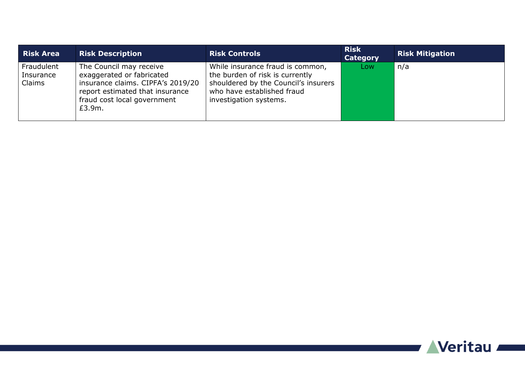| <b>Risk Area</b>                  | <b>Risk Description</b>                                                                                                                                               | <b>Risk Controls</b>                                                                                                                                                | <b>Risk</b><br><b>Category</b> | <b>Risk Mitigation</b> |
|-----------------------------------|-----------------------------------------------------------------------------------------------------------------------------------------------------------------------|---------------------------------------------------------------------------------------------------------------------------------------------------------------------|--------------------------------|------------------------|
| Fraudulent<br>Insurance<br>Claims | The Council may receive<br>exaggerated or fabricated<br>insurance claims. CIPFA's 2019/20<br>report estimated that insurance<br>fraud cost local government<br>£3.9m. | While insurance fraud is common,<br>the burden of risk is currently<br>shouldered by the Council's insurers<br>who have established fraud<br>investigation systems. | Low                            | n/a                    |

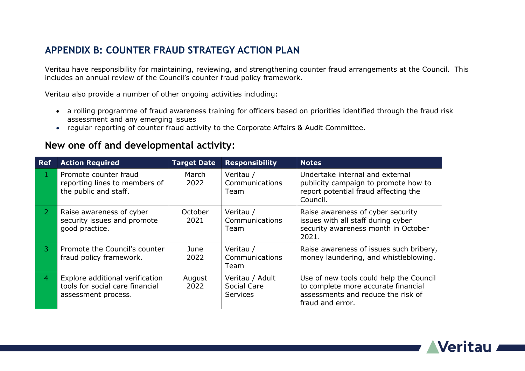### **APPENDIX B: COUNTER FRAUD STRATEGY ACTION PLAN**

Veritau have responsibility for maintaining, reviewing, and strengthening counter fraud arrangements at the Council. This includes an annual review of the Council's counter fraud policy framework.

Veritau also provide a number of other ongoing activities including:

- a rolling programme of fraud awareness training for officers based on priorities identified through the fraud risk assessment and any emerging issues
- regular reporting of counter fraud activity to the Corporate Affairs & Audit Committee.

#### **New one off and developmental activity:**

| <b>Ref</b>     | <b>Action Required</b>                                                                    | <b>Target Date</b> | <b>Responsibility</b>                             | <b>Notes</b>                                                                                                                             |
|----------------|-------------------------------------------------------------------------------------------|--------------------|---------------------------------------------------|------------------------------------------------------------------------------------------------------------------------------------------|
| $\mathbf 1$    | Promote counter fraud<br>reporting lines to members of<br>the public and staff.           | March<br>2022      | Veritau /<br>Communications<br>Team               | Undertake internal and external<br>publicity campaign to promote how to<br>report potential fraud affecting the<br>Council.              |
| $\overline{2}$ | Raise awareness of cyber<br>security issues and promote<br>good practice.                 | October<br>2021    | Veritau /<br>Communications<br>Team               | Raise awareness of cyber security<br>issues with all staff during cyber<br>security awareness month in October<br>2021.                  |
| $\overline{3}$ | Promote the Council's counter<br>fraud policy framework.                                  | June<br>2022       | Veritau /<br>Communications<br>Team               | Raise awareness of issues such bribery,<br>money laundering, and whistleblowing.                                                         |
| 4              | Explore additional verification<br>tools for social care financial<br>assessment process. | August<br>2022     | Veritau / Adult<br>Social Care<br><b>Services</b> | Use of new tools could help the Council<br>to complete more accurate financial<br>assessments and reduce the risk of<br>fraud and error. |

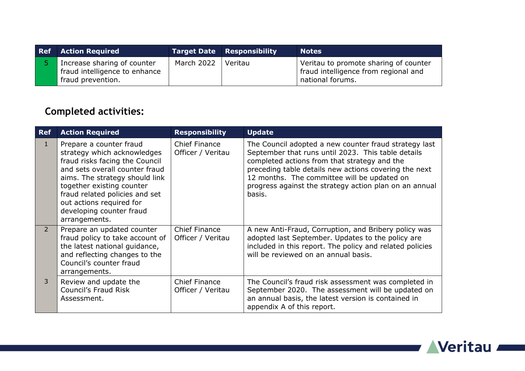| <b>Ref</b> Action Required                                                        |            | <b>Target Date Responsibility</b> | <b>Notes</b>                                                                                      |
|-----------------------------------------------------------------------------------|------------|-----------------------------------|---------------------------------------------------------------------------------------------------|
| Increase sharing of counter<br>fraud intelligence to enhance<br>fraud prevention. | March 2022 | Veritau                           | Veritau to promote sharing of counter<br>fraud intelligence from regional and<br>national forums. |

### **Completed activities:**

| <b>Ref</b>     | <b>Action Required</b>                                                                                                                                                                                                                                                                               | <b>Responsibility</b>                     | <b>Update</b>                                                                                                                                                                                                                                                                                                                           |
|----------------|------------------------------------------------------------------------------------------------------------------------------------------------------------------------------------------------------------------------------------------------------------------------------------------------------|-------------------------------------------|-----------------------------------------------------------------------------------------------------------------------------------------------------------------------------------------------------------------------------------------------------------------------------------------------------------------------------------------|
| $\mathbf{1}$   | Prepare a counter fraud<br>strategy which acknowledges<br>fraud risks facing the Council<br>and sets overall counter fraud<br>aims. The strategy should link<br>together existing counter<br>fraud related policies and set<br>out actions required for<br>developing counter fraud<br>arrangements. | <b>Chief Finance</b><br>Officer / Veritau | The Council adopted a new counter fraud strategy last<br>September that runs until 2023. This table details<br>completed actions from that strategy and the<br>preceding table details new actions covering the next<br>12 months. The committee will be updated on<br>progress against the strategy action plan on an annual<br>basis. |
| $\overline{2}$ | Prepare an updated counter<br>fraud policy to take account of<br>the latest national quidance,<br>and reflecting changes to the<br>Council's counter fraud<br>arrangements.                                                                                                                          | <b>Chief Finance</b><br>Officer / Veritau | A new Anti-Fraud, Corruption, and Bribery policy was<br>adopted last September. Updates to the policy are<br>included in this report. The policy and related policies<br>will be reviewed on an annual basis.                                                                                                                           |
| 3              | Review and update the<br><b>Council's Fraud Risk</b><br>Assessment.                                                                                                                                                                                                                                  | <b>Chief Finance</b><br>Officer / Veritau | The Council's fraud risk assessment was completed in<br>September 2020. The assessment will be updated on<br>an annual basis, the latest version is contained in<br>appendix A of this report.                                                                                                                                          |

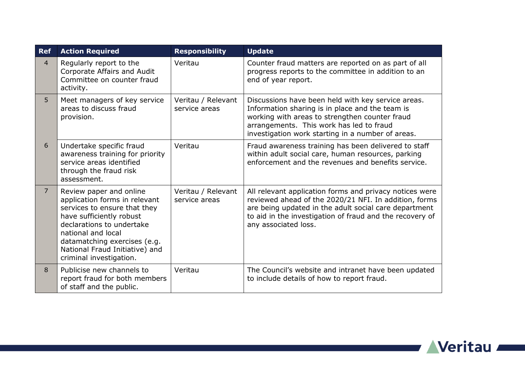| Ref            | <b>Action Required</b>                                                                                                                                                                                                                                               | <b>Responsibility</b>               | <b>Update</b>                                                                                                                                                                                                                                                 |
|----------------|----------------------------------------------------------------------------------------------------------------------------------------------------------------------------------------------------------------------------------------------------------------------|-------------------------------------|---------------------------------------------------------------------------------------------------------------------------------------------------------------------------------------------------------------------------------------------------------------|
| $\overline{4}$ | Regularly report to the<br>Corporate Affairs and Audit<br>Committee on counter fraud<br>activity.                                                                                                                                                                    | Veritau                             | Counter fraud matters are reported on as part of all<br>progress reports to the committee in addition to an<br>end of year report.                                                                                                                            |
| 5 <sup>1</sup> | Meet managers of key service<br>areas to discuss fraud<br>provision.                                                                                                                                                                                                 | Veritau / Relevant<br>service areas | Discussions have been held with key service areas.<br>Information sharing is in place and the team is<br>working with areas to strengthen counter fraud<br>arrangements. This work has led to fraud<br>investigation work starting in a number of areas.      |
| 6              | Undertake specific fraud<br>awareness training for priority<br>service areas identified<br>through the fraud risk<br>assessment.                                                                                                                                     | Veritau                             | Fraud awareness training has been delivered to staff<br>within adult social care, human resources, parking<br>enforcement and the revenues and benefits service.                                                                                              |
| $\overline{7}$ | Review paper and online<br>application forms in relevant<br>services to ensure that they<br>have sufficiently robust<br>declarations to undertake<br>national and local<br>datamatching exercises (e.g.<br>National Fraud Initiative) and<br>criminal investigation. | Veritau / Relevant<br>service areas | All relevant application forms and privacy notices were<br>reviewed ahead of the 2020/21 NFI. In addition, forms<br>are being updated in the adult social care department<br>to aid in the investigation of fraud and the recovery of<br>any associated loss. |
| 8              | Publicise new channels to<br>report fraud for both members<br>of staff and the public.                                                                                                                                                                               | Veritau                             | The Council's website and intranet have been updated<br>to include details of how to report fraud.                                                                                                                                                            |

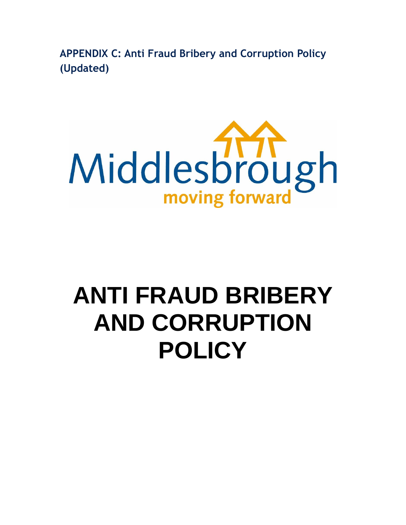**APPENDIX C: Anti Fraud Bribery and Corruption Policy (Updated)**



# **ANTI FRAUD BRIBERY AND CORRUPTION POLICY**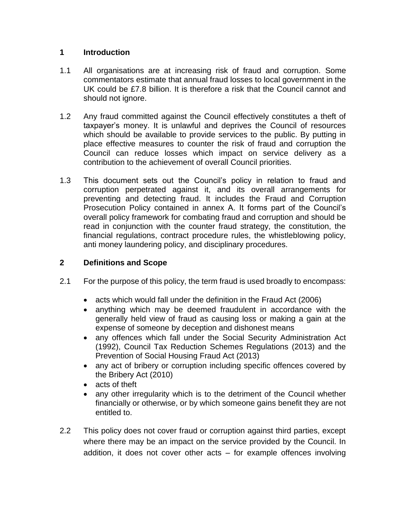#### **1 Introduction**

- 1.1 All organisations are at increasing risk of fraud and corruption. Some commentators estimate that annual fraud losses to local government in the UK could be £7.8 billion. It is therefore a risk that the Council cannot and should not ignore.
- 1.2 Any fraud committed against the Council effectively constitutes a theft of taxpayer's money. It is unlawful and deprives the Council of resources which should be available to provide services to the public. By putting in place effective measures to counter the risk of fraud and corruption the Council can reduce losses which impact on service delivery as a contribution to the achievement of overall Council priorities.
- 1.3 This document sets out the Council's policy in relation to fraud and corruption perpetrated against it, and its overall arrangements for preventing and detecting fraud. It includes the Fraud and Corruption Prosecution Policy contained in annex A. It forms part of the Council's overall policy framework for combating fraud and corruption and should be read in conjunction with the counter fraud strategy, the constitution, the financial regulations, contract procedure rules, the whistleblowing policy, anti money laundering policy, and disciplinary procedures.

#### **2 Definitions and Scope**

- 2.1 For the purpose of this policy, the term fraud is used broadly to encompass:
	- acts which would fall under the definition in the Fraud Act (2006)
	- anything which may be deemed fraudulent in accordance with the generally held view of fraud as causing loss or making a gain at the expense of someone by deception and dishonest means
	- any offences which fall under the Social Security Administration Act (1992), Council Tax Reduction Schemes Regulations (2013) and the Prevention of Social Housing Fraud Act (2013)
	- any act of bribery or corruption including specific offences covered by the Bribery Act (2010)
	- acts of theft
	- any other irregularity which is to the detriment of the Council whether financially or otherwise, or by which someone gains benefit they are not entitled to.
- 2.2 This policy does not cover fraud or corruption against third parties, except where there may be an impact on the service provided by the Council. In addition, it does not cover other acts – for example offences involving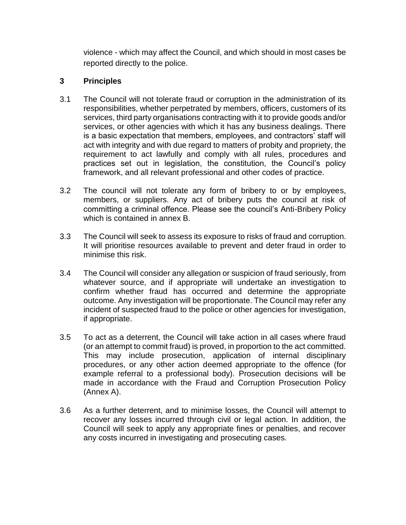violence - which may affect the Council, and which should in most cases be reported directly to the police.

#### **3 Principles**

- 3.1 The Council will not tolerate fraud or corruption in the administration of its responsibilities, whether perpetrated by members, officers, customers of its services, third party organisations contracting with it to provide goods and/or services, or other agencies with which it has any business dealings. There is a basic expectation that members, employees, and contractors' staff will act with integrity and with due regard to matters of probity and propriety, the requirement to act lawfully and comply with all rules, procedures and practices set out in legislation, the constitution, the Council's policy framework, and all relevant professional and other codes of practice.
- 3.2 The council will not tolerate any form of bribery to or by employees, members, or suppliers. Any act of bribery puts the council at risk of committing a criminal offence. Please see the council's Anti-Bribery Policy which is contained in annex B.
- 3.3 The Council will seek to assess its exposure to risks of fraud and corruption. It will prioritise resources available to prevent and deter fraud in order to minimise this risk.
- 3.4 The Council will consider any allegation or suspicion of fraud seriously, from whatever source, and if appropriate will undertake an investigation to confirm whether fraud has occurred and determine the appropriate outcome. Any investigation will be proportionate. The Council may refer any incident of suspected fraud to the police or other agencies for investigation, if appropriate.
- 3.5 To act as a deterrent, the Council will take action in all cases where fraud (or an attempt to commit fraud) is proved, in proportion to the act committed. This may include prosecution, application of internal disciplinary procedures, or any other action deemed appropriate to the offence (for example referral to a professional body). Prosecution decisions will be made in accordance with the Fraud and Corruption Prosecution Policy (Annex A).
- 3.6 As a further deterrent, and to minimise losses, the Council will attempt to recover any losses incurred through civil or legal action. In addition, the Council will seek to apply any appropriate fines or penalties, and recover any costs incurred in investigating and prosecuting cases.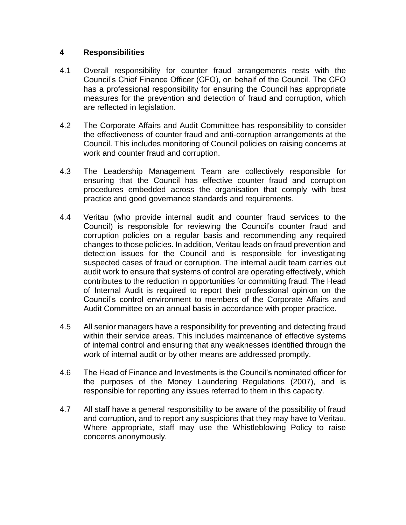#### **4 Responsibilities**

- 4.1 Overall responsibility for counter fraud arrangements rests with the Council's Chief Finance Officer (CFO), on behalf of the Council. The CFO has a professional responsibility for ensuring the Council has appropriate measures for the prevention and detection of fraud and corruption, which are reflected in legislation.
- 4.2 The Corporate Affairs and Audit Committee has responsibility to consider the effectiveness of counter fraud and anti-corruption arrangements at the Council. This includes monitoring of Council policies on raising concerns at work and counter fraud and corruption.
- 4.3 The Leadership Management Team are collectively responsible for ensuring that the Council has effective counter fraud and corruption procedures embedded across the organisation that comply with best practice and good governance standards and requirements.
- 4.4 Veritau (who provide internal audit and counter fraud services to the Council) is responsible for reviewing the Council's counter fraud and corruption policies on a regular basis and recommending any required changes to those policies. In addition, Veritau leads on fraud prevention and detection issues for the Council and is responsible for investigating suspected cases of fraud or corruption. The internal audit team carries out audit work to ensure that systems of control are operating effectively, which contributes to the reduction in opportunities for committing fraud. The Head of Internal Audit is required to report their professional opinion on the Council's control environment to members of the Corporate Affairs and Audit Committee on an annual basis in accordance with proper practice.
- 4.5 All senior managers have a responsibility for preventing and detecting fraud within their service areas. This includes maintenance of effective systems of internal control and ensuring that any weaknesses identified through the work of internal audit or by other means are addressed promptly.
- 4.6 The Head of Finance and Investments is the Council's nominated officer for the purposes of the Money Laundering Regulations (2007), and is responsible for reporting any issues referred to them in this capacity.
- 4.7 All staff have a general responsibility to be aware of the possibility of fraud and corruption, and to report any suspicions that they may have to Veritau. Where appropriate, staff may use the Whistleblowing Policy to raise concerns anonymously.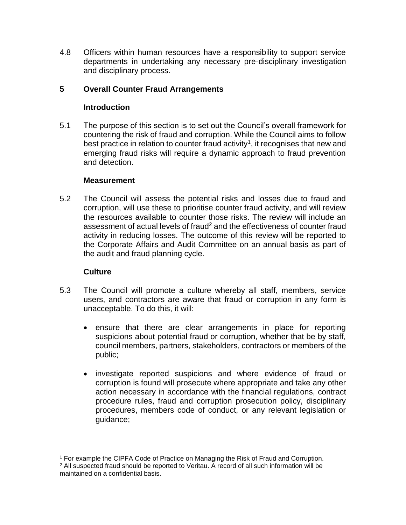4.8 Officers within human resources have a responsibility to support service departments in undertaking any necessary pre-disciplinary investigation and disciplinary process.

#### **5 Overall Counter Fraud Arrangements**

#### **Introduction**

5.1 The purpose of this section is to set out the Council's overall framework for countering the risk of fraud and corruption. While the Council aims to follow best practice in relation to counter fraud activity<sup>1</sup>, it recognises that new and emerging fraud risks will require a dynamic approach to fraud prevention and detection.

#### **Measurement**

5.2 The Council will assess the potential risks and losses due to fraud and corruption, will use these to prioritise counter fraud activity, and will review the resources available to counter those risks. The review will include an assessment of actual levels of fraud<sup>2</sup> and the effectiveness of counter fraud activity in reducing losses. The outcome of this review will be reported to the Corporate Affairs and Audit Committee on an annual basis as part of the audit and fraud planning cycle.

#### **Culture**

- 5.3 The Council will promote a culture whereby all staff, members, service users, and contractors are aware that fraud or corruption in any form is unacceptable. To do this, it will:
	- ensure that there are clear arrangements in place for reporting suspicions about potential fraud or corruption, whether that be by staff, council members, partners, stakeholders, contractors or members of the public;
	- investigate reported suspicions and where evidence of fraud or corruption is found will prosecute where appropriate and take any other action necessary in accordance with the financial regulations, contract procedure rules, fraud and corruption prosecution policy, disciplinary procedures, members code of conduct, or any relevant legislation or guidance;

j <sup>1</sup> For example the CIPFA Code of Practice on Managing the Risk of Fraud and Corruption.

 $2$  All suspected fraud should be reported to Veritau. A record of all such information will be maintained on a confidential basis.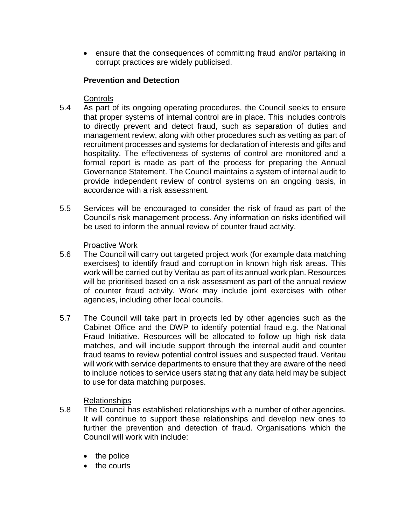ensure that the consequences of committing fraud and/or partaking in corrupt practices are widely publicised.

#### **Prevention and Detection**

#### **Controls**

- 5.4 As part of its ongoing operating procedures, the Council seeks to ensure that proper systems of internal control are in place. This includes controls to directly prevent and detect fraud, such as separation of duties and management review, along with other procedures such as vetting as part of recruitment processes and systems for declaration of interests and gifts and hospitality. The effectiveness of systems of control are monitored and a formal report is made as part of the process for preparing the Annual Governance Statement. The Council maintains a system of internal audit to provide independent review of control systems on an ongoing basis, in accordance with a risk assessment.
- 5.5 Services will be encouraged to consider the risk of fraud as part of the Council's risk management process. Any information on risks identified will be used to inform the annual review of counter fraud activity.

#### Proactive Work

- 5.6 The Council will carry out targeted project work (for example data matching exercises) to identify fraud and corruption in known high risk areas. This work will be carried out by Veritau as part of its annual work plan. Resources will be prioritised based on a risk assessment as part of the annual review of counter fraud activity. Work may include joint exercises with other agencies, including other local councils.
- 5.7 The Council will take part in projects led by other agencies such as the Cabinet Office and the DWP to identify potential fraud e.g. the National Fraud Initiative. Resources will be allocated to follow up high risk data matches, and will include support through the internal audit and counter fraud teams to review potential control issues and suspected fraud. Veritau will work with service departments to ensure that they are aware of the need to include notices to service users stating that any data held may be subject to use for data matching purposes.

#### Relationships

- 5.8 The Council has established relationships with a number of other agencies. It will continue to support these relationships and develop new ones to further the prevention and detection of fraud. Organisations which the Council will work with include:
	- $\bullet$  the police
	- the courts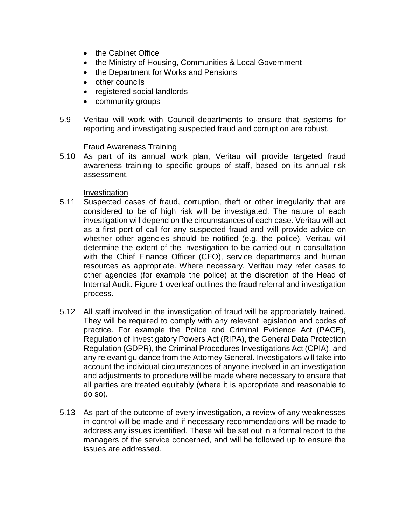- the Cabinet Office
- the Ministry of Housing, Communities & Local Government
- the Department for Works and Pensions
- other councils
- registered social landlords
- community groups
- 5.9 Veritau will work with Council departments to ensure that systems for reporting and investigating suspected fraud and corruption are robust.

#### Fraud Awareness Training

5.10 As part of its annual work plan, Veritau will provide targeted fraud awareness training to specific groups of staff, based on its annual risk assessment.

#### Investigation

- 5.11 Suspected cases of fraud, corruption, theft or other irregularity that are considered to be of high risk will be investigated. The nature of each investigation will depend on the circumstances of each case. Veritau will act as a first port of call for any suspected fraud and will provide advice on whether other agencies should be notified (e.g. the police). Veritau will determine the extent of the investigation to be carried out in consultation with the Chief Finance Officer (CFO), service departments and human resources as appropriate. Where necessary, Veritau may refer cases to other agencies (for example the police) at the discretion of the Head of Internal Audit. Figure 1 overleaf outlines the fraud referral and investigation process.
- 5.12 All staff involved in the investigation of fraud will be appropriately trained. They will be required to comply with any relevant legislation and codes of practice. For example the Police and Criminal Evidence Act (PACE), Regulation of Investigatory Powers Act (RIPA), the General Data Protection Regulation (GDPR), the Criminal Procedures Investigations Act (CPIA), and any relevant guidance from the Attorney General. Investigators will take into account the individual circumstances of anyone involved in an investigation and adjustments to procedure will be made where necessary to ensure that all parties are treated equitably (where it is appropriate and reasonable to do so).
- 5.13 As part of the outcome of every investigation, a review of any weaknesses in control will be made and if necessary recommendations will be made to address any issues identified. These will be set out in a formal report to the managers of the service concerned, and will be followed up to ensure the issues are addressed.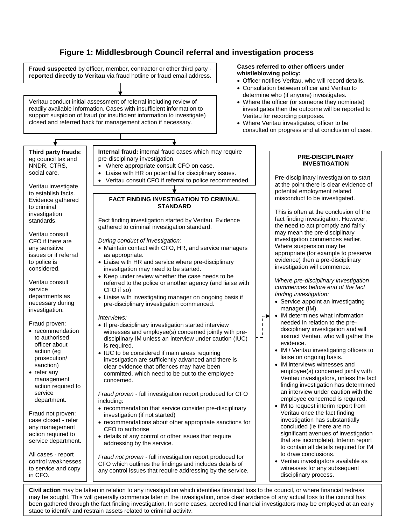#### **Figure 1: Middlesbrough Council referral and investigation process**

**Fraud suspected** by officer, member, contractor or other third party **reported directly to Veritau** via fraud hotline or fraud email address. Veritau conduct initial assessment of referral including review of readily available information. Cases with insufficient information to support suspicion of fraud (or insufficient information to investigate) closed and referred back for management action if necessary. **Internal fraud:** internal fraud cases wh pre-disciplinary investigation. • Where appropriate consult CFO on Liaise with HR on potential for disciplinary Veritau consult CFO if referral to political **FACT FINDING INVESTIGATION STANDARD** Fact finding investigation started by Ve gathered to criminal investigation stand *During conduct of investigation:*  $\bullet$  Maintain contact with CFO, HR, and as appropriate.  $\bullet$  Liaise with HR and service where preinvestigation may need to be started. • Keep under review whether the case referred to the police or another ager CFO if so) • Liaise with investigating manager on pre-disciplinary investigation commen *Interviews:*  $\bullet$  If pre-disciplinary investigation started witnesses and employee(s) concerne disciplinary IM unless an interview ur is required. • IUC to be considered if main areas re investigation are sufficiently advance clear evidence that offences may hav committed, which need to be put to th concerned. *Fraud proven* - full investigation report including: • recommendation that service consider investigation (if not started)  $\bullet$  recommendations about other approp CFO to authorise • details of any control or other issues addressing by the service. *Fraud not proven* - full investigation rep CFO which outlines the findings and in any control issues that require addressir **Cases referred to other officers under whistleblowing policy:**  Veritau for recording purposes. **Third party frauds**: eg council tax and NNDR, CTRS, social care. Veritau investigate to establish facts. Evidence gathered to criminal investigation standards. Veritau consult CFO if there are any sensitive issues or if referral to police is considered. Veritau consult service departments as necessary during investigation. Fraud proven: • recommendation to authorised officer about action (eg prosecution/ sanction) • refer any management action required to service department. Fraud not proven: case closed - refer any management action required to service department. All cases - report control weaknesses to service and copy in CFO. manager (IM). evidence. disciplinary process.

- Officer notifies Veritau, who will record details.
- Consultation between officer and Veritau to determine who (if anyone) investigates.
- Where the officer (or someone they nominate) investigates then the outcome will be reported to
- Where Veritau investigates, officer to be consulted on progress and at conclusion of case.

| nich may require          |                | <b>PRE-DISCIPLINARY</b><br><b>INVESTIGATION</b>                                                                                                                                            |
|---------------------------|----------------|--------------------------------------------------------------------------------------------------------------------------------------------------------------------------------------------|
| case.                     |                |                                                                                                                                                                                            |
| plinary issues.           |                |                                                                                                                                                                                            |
| lice recommended.         |                | Pre-disciplinary investigation to start<br>at the point there is clear evidence of                                                                                                         |
|                           |                | potential employment related                                                                                                                                                               |
|                           |                | misconduct to be investigated.                                                                                                                                                             |
| <b>TO CRIMINAL</b>        |                |                                                                                                                                                                                            |
| eritau. Evidence<br>dard. |                | This is often at the conclusion of the<br>fact finding investigation. However,<br>the need to act promptly and fairly<br>may mean the pre-disciplinary<br>investigation commences earlier. |
| service managers          |                | Where suspension may be<br>appropriate (for example to preserve                                                                                                                            |
| e-disciplinary            |                | evidence) then a pre-disciplinary<br>investigation will commence.                                                                                                                          |
| e needs to be             |                |                                                                                                                                                                                            |
| ncy (and liaise with      |                | Where pre-disciplinary investigation                                                                                                                                                       |
|                           |                | commences before end of the fact                                                                                                                                                           |
| ongoing basis if          |                | finding investigation:                                                                                                                                                                     |
| nced.                     |                | • Service appoint an investigating                                                                                                                                                         |
|                           |                | manager (IM).                                                                                                                                                                              |
|                           | $\overline{1}$ | • IM determines what information                                                                                                                                                           |
| d interview:              |                | needed in relation to the pre-                                                                                                                                                             |
| ed jointly with pre-      |                | disciplinary investigation and will                                                                                                                                                        |
| nder caution (IUC)        |                | instruct Veritau, who will gather the                                                                                                                                                      |
|                           |                | evidence.                                                                                                                                                                                  |
| equiring                  |                | • IM / Veritau investigating officers to                                                                                                                                                   |
| ed and there is           |                | liaise on ongoing basis.<br>• IM interviews witnesses and                                                                                                                                  |
| ve been                   |                | employee(s) concerned jointly with                                                                                                                                                         |
| he employee               |                | Veritau investigators, unless the fact<br>finding investigation has determined                                                                                                             |
| produced for CFO          |                | an interview under caution with the<br>employee concerned is required.                                                                                                                     |
|                           |                | • IM to request interim report from                                                                                                                                                        |
| er pre-disciplinary       |                | Veritau once the fact finding                                                                                                                                                              |
| priate sanctions for      |                | investigation has substantially<br>concluded (ie there are no                                                                                                                              |
| that require              |                | significant avenues of investigation<br>that are incomplete). Interim report<br>to contain all details required for IM                                                                     |
| port produced for         |                | to draw conclusions.                                                                                                                                                                       |
| cludes details of         |                | • Veritau investigators available as                                                                                                                                                       |
| ina by the service        |                | witnesses for any subsequent                                                                                                                                                               |

**Civil action** may be taken in relation to any investigation which identifies financial loss to the council, or where financial redress may be sought. This will generally commence later in the investigation, once clear evidence of any actual loss to the council has been gathered through the fact finding investigation. In some cases, accredited financial investigators may be employed at an early stage to identify and restrain assets related to criminal activity.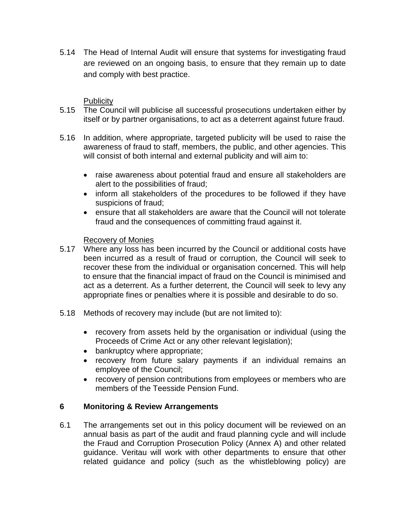5.14 The Head of Internal Audit will ensure that systems for investigating fraud are reviewed on an ongoing basis, to ensure that they remain up to date and comply with best practice.

#### Publicity

- 5.15 The Council will publicise all successful prosecutions undertaken either by itself or by partner organisations, to act as a deterrent against future fraud.
- 5.16 In addition, where appropriate, targeted publicity will be used to raise the awareness of fraud to staff, members, the public, and other agencies. This will consist of both internal and external publicity and will aim to:
	- raise awareness about potential fraud and ensure all stakeholders are alert to the possibilities of fraud;
	- inform all stakeholders of the procedures to be followed if they have suspicions of fraud;
	- ensure that all stakeholders are aware that the Council will not tolerate fraud and the consequences of committing fraud against it.

#### Recovery of Monies

- 5.17 Where any loss has been incurred by the Council or additional costs have been incurred as a result of fraud or corruption, the Council will seek to recover these from the individual or organisation concerned. This will help to ensure that the financial impact of fraud on the Council is minimised and act as a deterrent. As a further deterrent, the Council will seek to levy any appropriate fines or penalties where it is possible and desirable to do so.
- 5.18 Methods of recovery may include (but are not limited to):
	- recovery from assets held by the organisation or individual (using the Proceeds of Crime Act or any other relevant legislation);
	- bankruptcy where appropriate;
	- recovery from future salary payments if an individual remains an employee of the Council;
	- recovery of pension contributions from employees or members who are members of the Teesside Pension Fund.

#### **6 Monitoring & Review Arrangements**

6.1 The arrangements set out in this policy document will be reviewed on an annual basis as part of the audit and fraud planning cycle and will include the Fraud and Corruption Prosecution Policy (Annex A) and other related guidance. Veritau will work with other departments to ensure that other related guidance and policy (such as the whistleblowing policy) are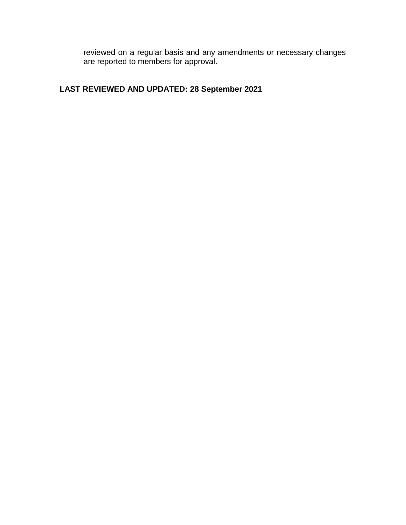reviewed on a regular basis and any amendments or necessary changes are reported to members for approval.

#### **LAST REVIEWED AND UPDATED: 28 September 2021**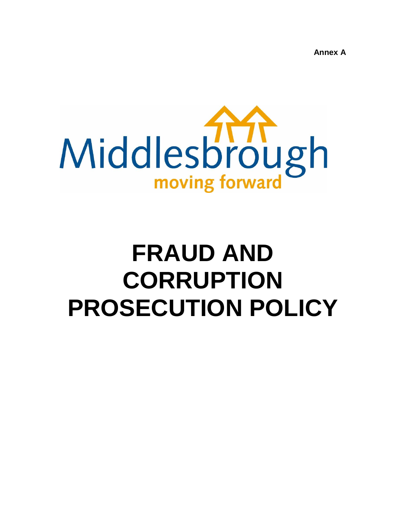**Annex A**



# **FRAUD AND CORRUPTION PROSECUTION POLICY**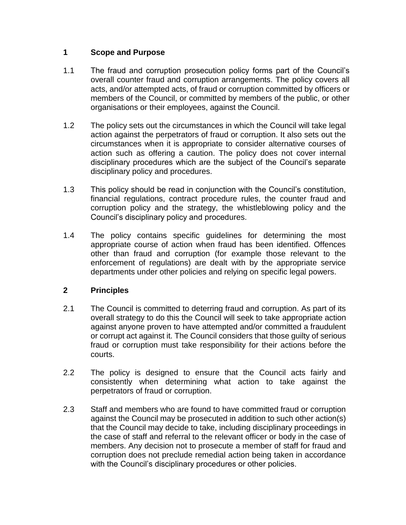#### **1 Scope and Purpose**

- 1.1 The fraud and corruption prosecution policy forms part of the Council's overall counter fraud and corruption arrangements. The policy covers all acts, and/or attempted acts, of fraud or corruption committed by officers or members of the Council, or committed by members of the public, or other organisations or their employees, against the Council.
- 1.2 The policy sets out the circumstances in which the Council will take legal action against the perpetrators of fraud or corruption. It also sets out the circumstances when it is appropriate to consider alternative courses of action such as offering a caution. The policy does not cover internal disciplinary procedures which are the subject of the Council's separate disciplinary policy and procedures.
- 1.3 This policy should be read in conjunction with the Council's constitution, financial regulations, contract procedure rules, the counter fraud and corruption policy and the strategy, the whistleblowing policy and the Council's disciplinary policy and procedures.
- 1.4 The policy contains specific guidelines for determining the most appropriate course of action when fraud has been identified. Offences other than fraud and corruption (for example those relevant to the enforcement of regulations) are dealt with by the appropriate service departments under other policies and relying on specific legal powers.

#### **2 Principles**

- 2.1 The Council is committed to deterring fraud and corruption. As part of its overall strategy to do this the Council will seek to take appropriate action against anyone proven to have attempted and/or committed a fraudulent or corrupt act against it. The Council considers that those guilty of serious fraud or corruption must take responsibility for their actions before the courts.
- 2.2 The policy is designed to ensure that the Council acts fairly and consistently when determining what action to take against the perpetrators of fraud or corruption.
- 2.3 Staff and members who are found to have committed fraud or corruption against the Council may be prosecuted in addition to such other action(s) that the Council may decide to take, including disciplinary proceedings in the case of staff and referral to the relevant officer or body in the case of members. Any decision not to prosecute a member of staff for fraud and corruption does not preclude remedial action being taken in accordance with the Council's disciplinary procedures or other policies.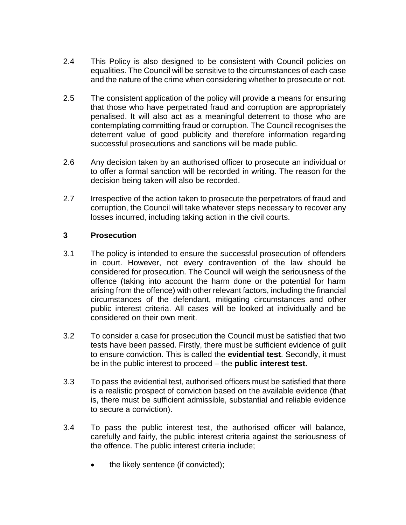- 2.4 This Policy is also designed to be consistent with Council policies on equalities. The Council will be sensitive to the circumstances of each case and the nature of the crime when considering whether to prosecute or not.
- 2.5 The consistent application of the policy will provide a means for ensuring that those who have perpetrated fraud and corruption are appropriately penalised. It will also act as a meaningful deterrent to those who are contemplating committing fraud or corruption. The Council recognises the deterrent value of good publicity and therefore information regarding successful prosecutions and sanctions will be made public.
- 2.6 Any decision taken by an authorised officer to prosecute an individual or to offer a formal sanction will be recorded in writing. The reason for the decision being taken will also be recorded.
- 2.7 Irrespective of the action taken to prosecute the perpetrators of fraud and corruption, the Council will take whatever steps necessary to recover any losses incurred, including taking action in the civil courts.

#### **3 Prosecution**

- 3.1 The policy is intended to ensure the successful prosecution of offenders in court. However, not every contravention of the law should be considered for prosecution. The Council will weigh the seriousness of the offence (taking into account the harm done or the potential for harm arising from the offence) with other relevant factors, including the financial circumstances of the defendant, mitigating circumstances and other public interest criteria. All cases will be looked at individually and be considered on their own merit.
- 3.2 To consider a case for prosecution the Council must be satisfied that two tests have been passed. Firstly, there must be sufficient evidence of guilt to ensure conviction. This is called the **evidential test**. Secondly, it must be in the public interest to proceed – the **public interest test.**
- 3.3 To pass the evidential test, authorised officers must be satisfied that there is a realistic prospect of conviction based on the available evidence (that is, there must be sufficient admissible, substantial and reliable evidence to secure a conviction).
- 3.4 To pass the public interest test, the authorised officer will balance, carefully and fairly, the public interest criteria against the seriousness of the offence. The public interest criteria include;
	- the likely sentence (if convicted);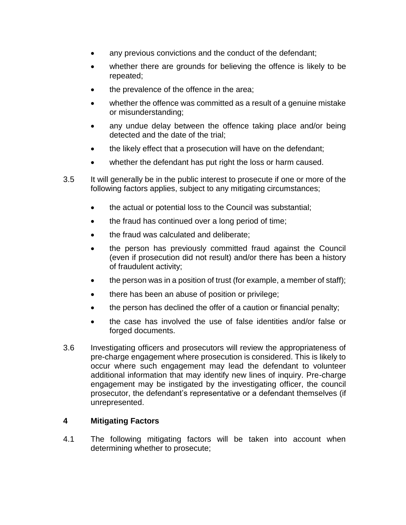- any previous convictions and the conduct of the defendant;
- whether there are grounds for believing the offence is likely to be repeated;
- the prevalence of the offence in the area;
- whether the offence was committed as a result of a genuine mistake or misunderstanding;
- any undue delay between the offence taking place and/or being detected and the date of the trial;
- the likely effect that a prosecution will have on the defendant;
- whether the defendant has put right the loss or harm caused.
- 3.5 It will generally be in the public interest to prosecute if one or more of the following factors applies, subject to any mitigating circumstances;
	- the actual or potential loss to the Council was substantial;
	- the fraud has continued over a long period of time;
	- the fraud was calculated and deliberate;
	- the person has previously committed fraud against the Council (even if prosecution did not result) and/or there has been a history of fraudulent activity;
	- the person was in a position of trust (for example, a member of staff);
	- there has been an abuse of position or privilege;
	- the person has declined the offer of a caution or financial penalty;
	- the case has involved the use of false identities and/or false or forged documents.
- 3.6 Investigating officers and prosecutors will review the appropriateness of pre-charge engagement where prosecution is considered. This is likely to occur where such engagement may lead the defendant to volunteer additional information that may identify new lines of inquiry. Pre-charge engagement may be instigated by the investigating officer, the council prosecutor, the defendant's representative or a defendant themselves (if unrepresented.

#### **4 Mitigating Factors**

4.1 The following mitigating factors will be taken into account when determining whether to prosecute;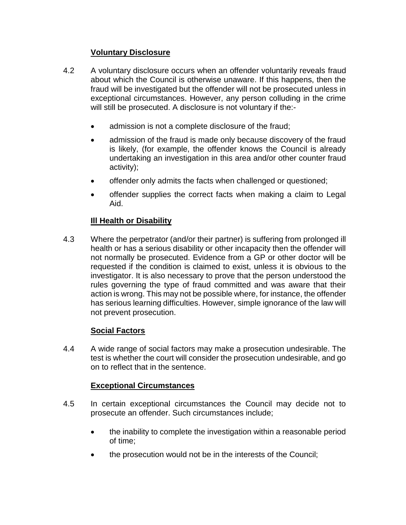#### **Voluntary Disclosure**

- 4.2 A voluntary disclosure occurs when an offender voluntarily reveals fraud about which the Council is otherwise unaware. If this happens, then the fraud will be investigated but the offender will not be prosecuted unless in exceptional circumstances. However, any person colluding in the crime will still be prosecuted. A disclosure is not voluntary if the:
	- admission is not a complete disclosure of the fraud;
	- admission of the fraud is made only because discovery of the fraud is likely, (for example, the offender knows the Council is already undertaking an investigation in this area and/or other counter fraud activity);
	- offender only admits the facts when challenged or questioned;
	- offender supplies the correct facts when making a claim to Legal Aid.

#### **Ill Health or Disability**

4.3 Where the perpetrator (and/or their partner) is suffering from prolonged ill health or has a serious disability or other incapacity then the offender will not normally be prosecuted. Evidence from a GP or other doctor will be requested if the condition is claimed to exist, unless it is obvious to the investigator. It is also necessary to prove that the person understood the rules governing the type of fraud committed and was aware that their action is wrong. This may not be possible where, for instance, the offender has serious learning difficulties. However, simple ignorance of the law will not prevent prosecution.

#### **Social Factors**

4.4 A wide range of social factors may make a prosecution undesirable. The test is whether the court will consider the prosecution undesirable, and go on to reflect that in the sentence.

#### **Exceptional Circumstances**

- 4.5 In certain exceptional circumstances the Council may decide not to prosecute an offender. Such circumstances include;
	- the inability to complete the investigation within a reasonable period of time;
	- the prosecution would not be in the interests of the Council;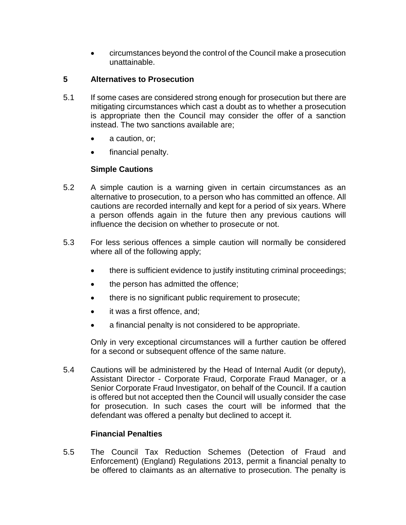circumstances beyond the control of the Council make a prosecution unattainable.

#### **5 Alternatives to Prosecution**

- 5.1 If some cases are considered strong enough for prosecution but there are mitigating circumstances which cast a doubt as to whether a prosecution is appropriate then the Council may consider the offer of a sanction instead. The two sanctions available are;
	- a caution, or;
	- financial penalty.

#### **Simple Cautions**

- 5.2 A simple caution is a warning given in certain circumstances as an alternative to prosecution, to a person who has committed an offence. All cautions are recorded internally and kept for a period of six years. Where a person offends again in the future then any previous cautions will influence the decision on whether to prosecute or not.
- 5.3 For less serious offences a simple caution will normally be considered where all of the following apply;
	- there is sufficient evidence to justify instituting criminal proceedings;
	- the person has admitted the offence;
	- there is no significant public requirement to prosecute;
	- it was a first offence, and;
	- a financial penalty is not considered to be appropriate.

Only in very exceptional circumstances will a further caution be offered for a second or subsequent offence of the same nature.

5.4 Cautions will be administered by the Head of Internal Audit (or deputy), Assistant Director - Corporate Fraud, Corporate Fraud Manager, or a Senior Corporate Fraud Investigator, on behalf of the Council. If a caution is offered but not accepted then the Council will usually consider the case for prosecution. In such cases the court will be informed that the defendant was offered a penalty but declined to accept it.

#### **Financial Penalties**

5.5 The Council Tax Reduction Schemes (Detection of Fraud and Enforcement) (England) Regulations 2013, permit a financial penalty to be offered to claimants as an alternative to prosecution. The penalty is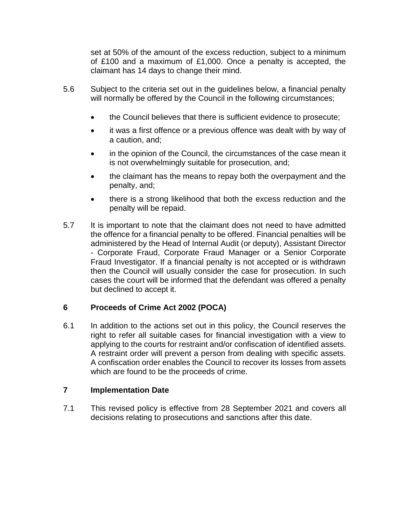set at 50% of the amount of the excess reduction, subject to a minimum of £100 and a maximum of £1,000. Once a penalty is accepted, the claimant has 14 days to change their mind.

- 5.6 Subject to the criteria set out in the guidelines below, a financial penalty will normally be offered by the Council in the following circumstances;
	- the Council believes that there is sufficient evidence to prosecute;
	- it was a first offence or a previous offence was dealt with by way of a caution, and;
	- in the opinion of the Council, the circumstances of the case mean it is not overwhelmingly suitable for prosecution, and;
	- the claimant has the means to repay both the overpayment and the penalty, and;
	- there is a strong likelihood that both the excess reduction and the penalty will be repaid.
- 5.7 It is important to note that the claimant does not need to have admitted the offence for a financial penalty to be offered. Financial penalties will be administered by the Head of Internal Audit (or deputy), Assistant Director - Corporate Fraud, Corporate Fraud Manager or a Senior Corporate Fraud Investigator. If a financial penalty is not accepted or is withdrawn then the Council will usually consider the case for prosecution. In such cases the court will be informed that the defendant was offered a penalty but declined to accept it.

#### **6 Proceeds of Crime Act 2002 (POCA)**

6.1 In addition to the actions set out in this policy, the Council reserves the right to refer all suitable cases for financial investigation with a view to applying to the courts for restraint and/or confiscation of identified assets. A restraint order will prevent a person from dealing with specific assets. A confiscation order enables the Council to recover its losses from assets which are found to be the proceeds of crime.

#### **7 Implementation Date**

7.1 This revised policy is effective from 28 September 2021 and covers all decisions relating to prosecutions and sanctions after this date.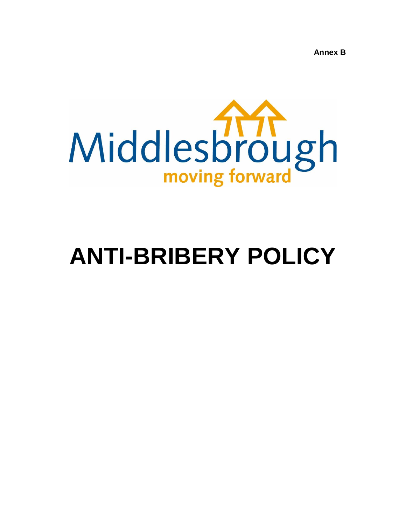**Annex B**



# **ANTI-BRIBERY POLICY**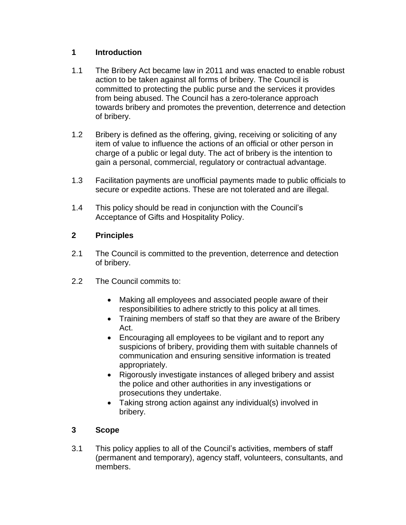#### **1 Introduction**

- 1.1 The Bribery Act became law in 2011 and was enacted to enable robust action to be taken against all forms of bribery. The Council is committed to protecting the public purse and the services it provides from being abused. The Council has a zero-tolerance approach towards bribery and promotes the prevention, deterrence and detection of bribery.
- 1.2 Bribery is defined as the offering, giving, receiving or soliciting of any item of value to influence the actions of an official or other person in charge of a public or legal duty. The act of bribery is the intention to gain a personal, commercial, regulatory or contractual advantage.
- 1.3 Facilitation payments are unofficial payments made to public officials to secure or expedite actions. These are not tolerated and are illegal.
- 1.4 This policy should be read in conjunction with the Council's Acceptance of Gifts and Hospitality Policy.

#### **2 Principles**

- 2.1 The Council is committed to the prevention, deterrence and detection of bribery.
- 2.2 The Council commits to:
	- Making all employees and associated people aware of their responsibilities to adhere strictly to this policy at all times.
	- Training members of staff so that they are aware of the Bribery Act.
	- Encouraging all employees to be vigilant and to report any suspicions of bribery, providing them with suitable channels of communication and ensuring sensitive information is treated appropriately.
	- Rigorously investigate instances of alleged bribery and assist the police and other authorities in any investigations or prosecutions they undertake.
	- Taking strong action against any individual(s) involved in bribery.

#### **3 Scope**

3.1 This policy applies to all of the Council's activities, members of staff (permanent and temporary), agency staff, volunteers, consultants, and members.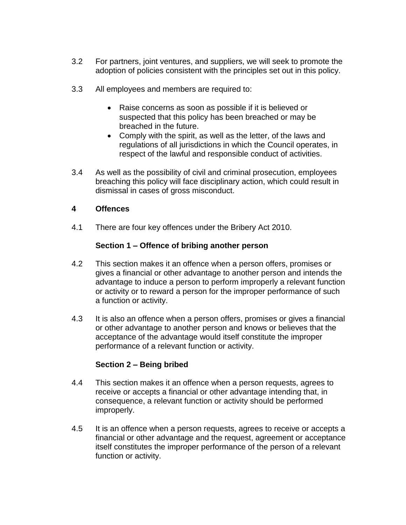- 3.2 For partners, joint ventures, and suppliers, we will seek to promote the adoption of policies consistent with the principles set out in this policy.
- 3.3 All employees and members are required to:
	- Raise concerns as soon as possible if it is believed or suspected that this policy has been breached or may be breached in the future.
	- Comply with the spirit, as well as the letter, of the laws and regulations of all jurisdictions in which the Council operates, in respect of the lawful and responsible conduct of activities.
- 3.4 As well as the possibility of civil and criminal prosecution, employees breaching this policy will face disciplinary action, which could result in dismissal in cases of gross misconduct.

#### **4 Offences**

4.1 There are four key offences under the Bribery Act 2010.

#### **Section 1 – Offence of bribing another person**

- 4.2 This section makes it an offence when a person offers, promises or gives a financial or other advantage to another person and intends the advantage to induce a person to perform improperly a relevant function or activity or to reward a person for the improper performance of such a function or activity.
- 4.3 It is also an offence when a person offers, promises or gives a financial or other advantage to another person and knows or believes that the acceptance of the advantage would itself constitute the improper performance of a relevant function or activity.

#### **Section 2 – Being bribed**

- 4.4 This section makes it an offence when a person requests, agrees to receive or accepts a financial or other advantage intending that, in consequence, a relevant function or activity should be performed improperly.
- 4.5 It is an offence when a person requests, agrees to receive or accepts a financial or other advantage and the request, agreement or acceptance itself constitutes the improper performance of the person of a relevant function or activity.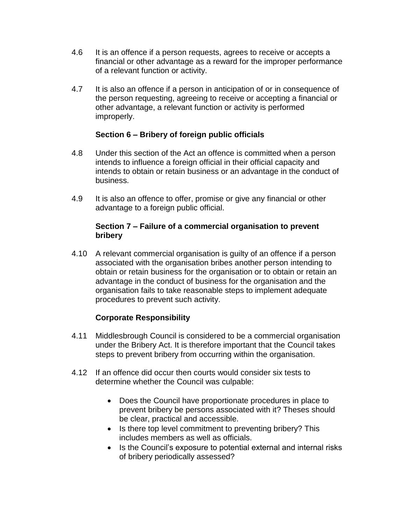- 4.6 It is an offence if a person requests, agrees to receive or accepts a financial or other advantage as a reward for the improper performance of a relevant function or activity.
- 4.7 It is also an offence if a person in anticipation of or in consequence of the person requesting, agreeing to receive or accepting a financial or other advantage, a relevant function or activity is performed improperly.

#### **Section 6 – Bribery of foreign public officials**

- 4.8 Under this section of the Act an offence is committed when a person intends to influence a foreign official in their official capacity and intends to obtain or retain business or an advantage in the conduct of business.
- 4.9 It is also an offence to offer, promise or give any financial or other advantage to a foreign public official.

#### **Section 7 – Failure of a commercial organisation to prevent bribery**

4.10 A relevant commercial organisation is guilty of an offence if a person associated with the organisation bribes another person intending to obtain or retain business for the organisation or to obtain or retain an advantage in the conduct of business for the organisation and the organisation fails to take reasonable steps to implement adequate procedures to prevent such activity.

#### **Corporate Responsibility**

- 4.11 Middlesbrough Council is considered to be a commercial organisation under the Bribery Act. It is therefore important that the Council takes steps to prevent bribery from occurring within the organisation.
- 4.12 If an offence did occur then courts would consider six tests to determine whether the Council was culpable:
	- Does the Council have proportionate procedures in place to prevent bribery be persons associated with it? Theses should be clear, practical and accessible.
	- Is there top level commitment to preventing bribery? This includes members as well as officials.
	- Is the Council's exposure to potential external and internal risks of bribery periodically assessed?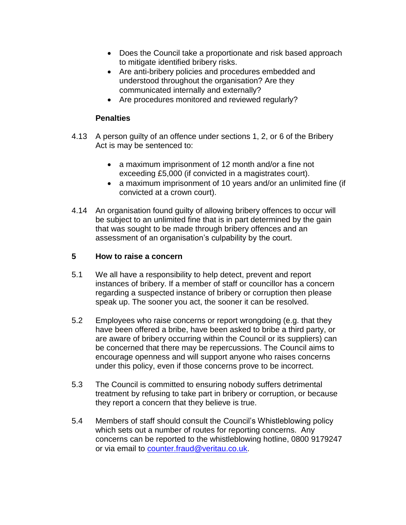- Does the Council take a proportionate and risk based approach to mitigate identified bribery risks.
- Are anti-bribery policies and procedures embedded and understood throughout the organisation? Are they communicated internally and externally?
- Are procedures monitored and reviewed regularly?

#### **Penalties**

- 4.13 A person guilty of an offence under sections 1, 2, or 6 of the Bribery Act is may be sentenced to:
	- a maximum imprisonment of 12 month and/or a fine not exceeding £5,000 (if convicted in a magistrates court).
	- a maximum imprisonment of 10 years and/or an unlimited fine (if convicted at a crown court).
- 4.14 An organisation found guilty of allowing bribery offences to occur will be subject to an unlimited fine that is in part determined by the gain that was sought to be made through bribery offences and an assessment of an organisation's culpability by the court.

#### **5 How to raise a concern**

- 5.1 We all have a responsibility to help detect, prevent and report instances of bribery. If a member of staff or councillor has a concern regarding a suspected instance of bribery or corruption then please speak up. The sooner you act, the sooner it can be resolved.
- 5.2 Employees who raise concerns or report wrongdoing (e.g. that they have been offered a bribe, have been asked to bribe a third party, or are aware of bribery occurring within the Council or its suppliers) can be concerned that there may be repercussions. The Council aims to encourage openness and will support anyone who raises concerns under this policy, even if those concerns prove to be incorrect.
- 5.3 The Council is committed to ensuring nobody suffers detrimental treatment by refusing to take part in bribery or corruption, or because they report a concern that they believe is true.
- 5.4 Members of staff should consult the Council's Whistleblowing policy which sets out a number of routes for reporting concerns. Any concerns can be reported to the whistleblowing hotline, 0800 9179247 or via email to [counter.fraud@veritau.co.uk.](mailto:counter.fraud@veritau.co.uk)